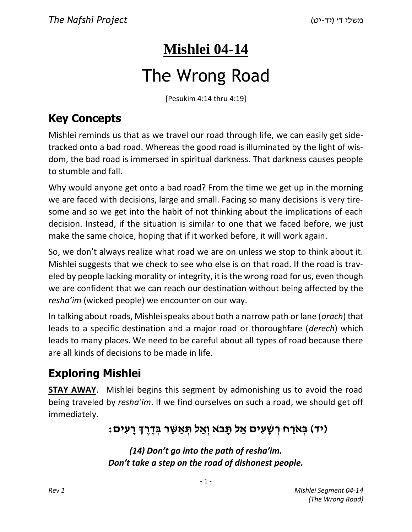# **Mishlei 04-14**

# The Wrong Road

[Pesukim 4:14 thru 4:19]

## **Key Concepts**

Mishlei reminds us that as we travel our road through life, we can easily get sidetracked onto a bad road. Whereas the good road is illuminated by the light of wisdom, the bad road is immersed in spiritual darkness. That darkness causes people to stumble and fall.

Why would anyone get onto a bad road? From the time we get up in the morning we are faced with decisions, large and small. Facing so many decisions is very tiresome and so we get into the habit of not thinking about the implications of each decision. Instead, if the situation is similar to one that we faced before, we just make the same choice, hoping that if it worked before, it will work again.

So, we don't always realize what road we are on unless we stop to think about it. Mishlei suggests that we check to see who else is on that road. If the road is traveled by people lacking morality or integrity, it is the wrong road for us, even though we are confident that we can reach our destination without being affected by the *resha'im* (wicked people) we encounter on our way.

In talking about roads, Mishlei speaks about both a narrow path or lane (*orach*) that leads to a specific destination and a major road or thoroughfare (*derech*) which leads to many places. We need to be careful about all types of road because there are all kinds of decisions to be made in life.

## **Exploring Mishlei**

**STAY AWAY**. Mishlei begins this segment by admonishing us to avoid the road being traveled by *resha'im*. If we find ourselves on such a road, we should get off immediately.

## : יד) בְּא**ַרַח רְשָׁעִים אַל תְּבֹא וְאַל תְּאַשֶּׁר בְּדֶרֶךְ רָעִים)**

*(14) Don't go into the path of resha'im. Don't take a step on the road of dishonest people.*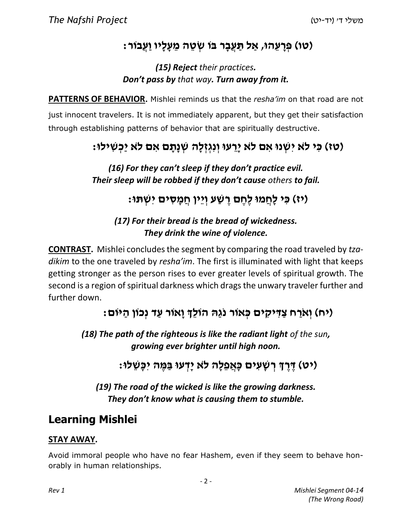## **)טו( פְּ רָ עֵ הוּ, אַ ל תַּ עֲבָ ר בֹּו שְׂ טֵ ה מֵ עָ לָיו וַעֲבֹור:**

#### *(15) Reject their practices. Don't pass by that way. Turn away from it.*

**PATTERNS OF BEHAVIOR.** Mishlei reminds us that the *resha'im* on that road are not just innocent travelers. It is not immediately apparent, but they get their satisfaction through establishing patterns of behavior that are spiritually destructive.

## **)טז( כִּ י ל ֹא יִשְׁ נוּ אִ ם ל ֹא יָרֵ עוּ וְ נִגְ זְ לָה שְׁ נָתָ ם אִ ם ל ֹא יַכְ שִׁ ילוּ:**

*(16) For they can't sleep if they don't practice evil. Their sleep will be robbed if they don't cause others to fail.*

**)יז( כִּ י לָחֲ מוּ לֶחֶ ם רֶ שַׁ ע וְ יֵין חֲ מָ סִ ים יִשְׁ תּוּ:**

#### *(17) For their bread is the bread of wickedness. They drink the wine of violence.*

**CONTRAST.** Mishlei concludes the segment by comparing the road traveled by *tzadikim* to the one traveled by *resha'im*. The first is illuminated with light that keeps getting stronger as the person rises to ever greater levels of spiritual growth. The second is a region of spiritual darkness which drags the unwary traveler further and further down.

## **)יח( וְ אֹרַ ח צַ דִּ יקִ ים כְּ אֹור נֹגַהּ הֹולְֵך וָאֹור עַ ד נְכֹון הַ יֹּום:**

*(18) The path of the righteous is like the radiant light of the sun, growing ever brighter until high noon.*

**)יט( דֶּ רֶ ְך רְ שָׁ עִ ים כָּאֲ פֵלָה ל ֹא יָדְ עוּ בַּ מֶּ ה יִכָּשֵׁ לוּ:**

*(19) The road of the wicked is like the growing darkness. They don't know what is causing them to stumble.*

## **Learning Mishlei**

#### **STAY AWAY.**

Avoid immoral people who have no fear Hashem, even if they seem to behave honorably in human relationships.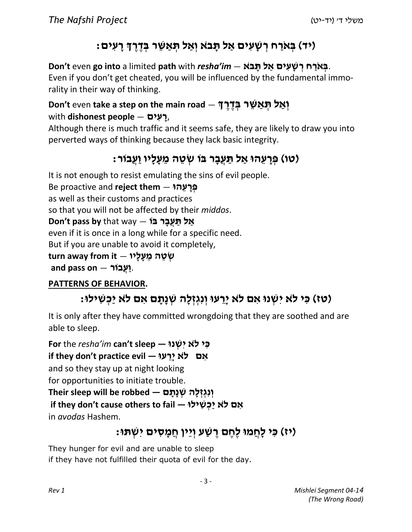## **)יד( בְּ אֹרַ ח רְ שָׁ עִ ים אַ ל תָּ ב ֹא וְ אַ ל תְּ אַ שֵּׁ ר בְּ דֶ רֶ ְך רָ עִ ים:**

**Exigm** בְּאֹרַח רְשַׁעַים אַל תַּבֹא — Don't even go into a limited path with *resha'im* Even if you don't get cheated, you will be influenced by the fundamental immorality in their way of thinking.

#### **Pon't even take a step on the main road — יְאֲל תְּאֲשֶׁר בְּדֶרְךָ** ,**רָ עִ ים** — **people dishonest** with

Although there is much traffic and it seems safe, they are likely to draw you into perverted ways of thinking because they lack basic integrity.

## **)טו( פְּ רָ עֵ הוּ אַ ל תַּ עֲבָ ר בֹּו שְׂ טֵ ה מֵ עָ לָיו וַעֲבֹור:**

It is not enough to resist emulating the sins of evil people. Be proactive and **reject them** — **הוּ ֵע ָר ְפּ**as well as their customs and practices so that you will not be affected by their *middos*. **Bon't pass by that way — אֵל תַעֲבַר בּוֹ** even if it is once in a long while for a specific need. But if you are unable to avoid it completely, .**וַעֲבֹור** — **on pass and-שְׂ טֵ ה מֵ עָ לָיו** — **it from away turn**

#### **PATTERNS OF BEHAVIOR.**

## **)טז( כִּ י ל ֹא יִשְׁ נוּ אִ ם ל ֹא יָרֵ עוּ וְ נִגְ זְ לָה שְׁ נָתָ ם אִ ם ל ֹא יַכְ שִׁ ילוּ:**

It is only after they have committed wrongdoing that they are soothed and are able to sleep.

**A** אִם לֹא יַרֵעוּ — if they don't practice evil **כִּ י ל ֹא יִשְׁ נוּ — sleep t'can** *im'resha* the **For** and so they stay up at night looking for opportunities to initiate trouble. **אִם לֹא יַכְשִׁילוּ — if they don't cause others to fail**<br>in *avodas* Hashem. fheir sleep will be robbed — יְנִגְזְלָה שְׁנָתָּם<br>if they don't cause others to fail — אִ<del>ם</del> לֹא יַכְשִׁילוּ **וְנְגְזְלַה שְׁנַתַּם — Their sleep will be robbed** 

## **)יז( כִּ י לָחֲ מוּ לֶחֶ ם רֶ שַׁ ע וְ יֵין חֲ מָ סִ ים יִשְׁ תּוּ:**

They hunger for evil and are unable to sleep if they have not fulfilled their quota of evil for the day.